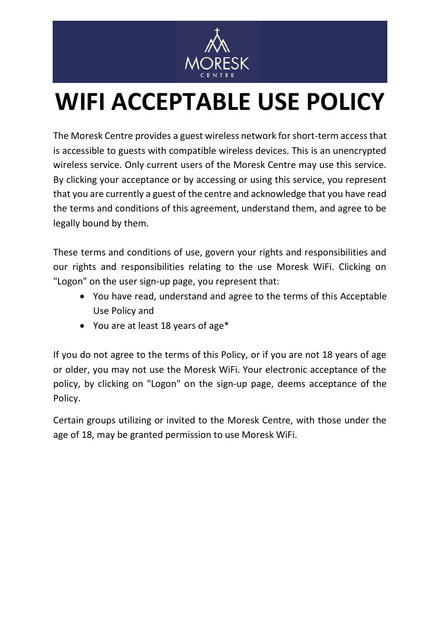

## **WIFI ACCEPTABLE USE POLICY**

The Moresk Centre provides a guest wireless network for short-term access that is accessible to guests with compatible wireless devices. This is an unencrypted wireless service. Only current users of the Moresk Centre may use this service. By clicking your acceptance or by accessing or using this service, you represent that you are currently a guest of the centre and acknowledge that you have read the terms and conditions of this agreement, understand them, and agree to be legally bound by them.

These terms and conditions of use, govern your rights and responsibilities and our rights and responsibilities relating to the use Moresk WiFi. Clicking on "Logon" on the user sign-up page, you represent that:

- You have read, understand and agree to the terms of this Acceptable Use Policy and
- You are at least 18 years of age\*

If you do not agree to the terms of this Policy, or if you are not 18 years of age or older, you may not use the Moresk WiFi. Your electronic acceptance of the policy, by clicking on "Logon" on the sign-up page, deems acceptance of the Policy.

Certain groups utilizing or invited to the Moresk Centre, with those under the age of 18, may be granted permission to use Moresk WiFi.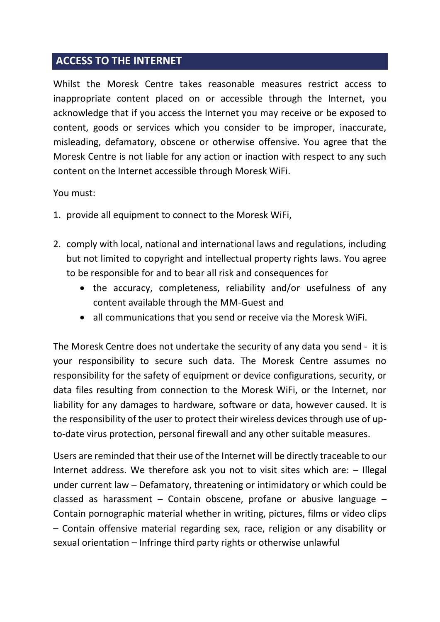## **ACCESS TO THE INTERNET**

Whilst the Moresk Centre takes reasonable measures restrict access to inappropriate content placed on or accessible through the Internet, you acknowledge that if you access the Internet you may receive or be exposed to content, goods or services which you consider to be improper, inaccurate, misleading, defamatory, obscene or otherwise offensive. You agree that the Moresk Centre is not liable for any action or inaction with respect to any such content on the Internet accessible through Moresk WiFi.

## You must:

- 1. provide all equipment to connect to the Moresk WiFi,
- 2. comply with local, national and international laws and regulations, including but not limited to copyright and intellectual property rights laws. You agree to be responsible for and to bear all risk and consequences for
	- the accuracy, completeness, reliability and/or usefulness of any content available through the MM-Guest and
	- all communications that you send or receive via the Moresk WiFi.

The Moresk Centre does not undertake the security of any data you send - it is your responsibility to secure such data. The Moresk Centre assumes no responsibility for the safety of equipment or device configurations, security, or data files resulting from connection to the Moresk WiFi, or the Internet, nor liability for any damages to hardware, software or data, however caused. It is the responsibility of the user to protect their wireless devices through use of upto-date virus protection, personal firewall and any other suitable measures.

Users are reminded that their use of the Internet will be directly traceable to our Internet address. We therefore ask you not to visit sites which are: – Illegal under current law – Defamatory, threatening or intimidatory or which could be classed as harassment – Contain obscene, profane or abusive language – Contain pornographic material whether in writing, pictures, films or video clips – Contain offensive material regarding sex, race, religion or any disability or sexual orientation – Infringe third party rights or otherwise unlawful